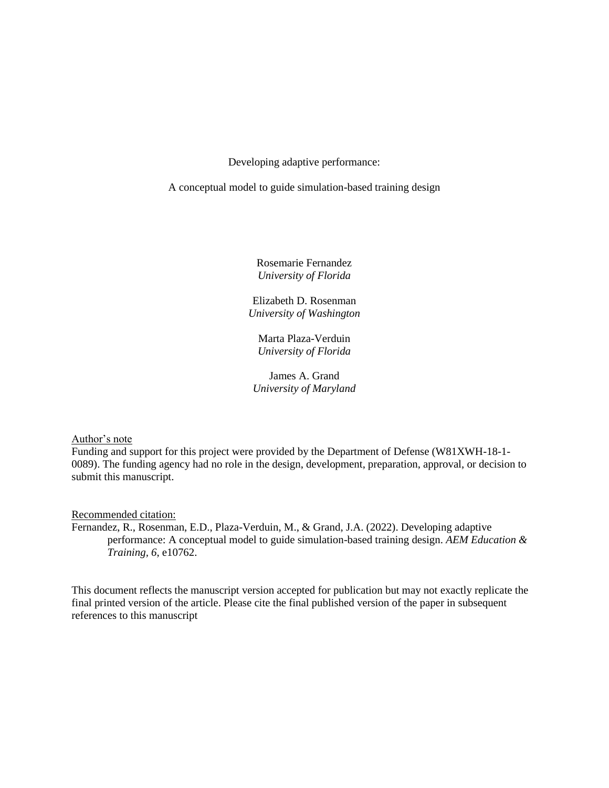Developing adaptive performance:

A conceptual model to guide simulation-based training design

Rosemarie Fernandez *University of Florida*

Elizabeth D. Rosenman *University of Washington*

Marta Plaza-Verduin *University of Florida*

James A. Grand *University of Maryland*

Author's note

Funding and support for this project were provided by the Department of Defense (W81XWH-18-1- 0089). The funding agency had no role in the design, development, preparation, approval, or decision to submit this manuscript.

Recommended citation:

Fernandez, R., Rosenman, E.D., Plaza-Verduin, M., & Grand, J.A. (2022). Developing adaptive performance: A conceptual model to guide simulation-based training design. *AEM Education & Training, 6*, e10762.

This document reflects the manuscript version accepted for publication but may not exactly replicate the final printed version of the article. Please cite the final published version of the paper in subsequent references to this manuscript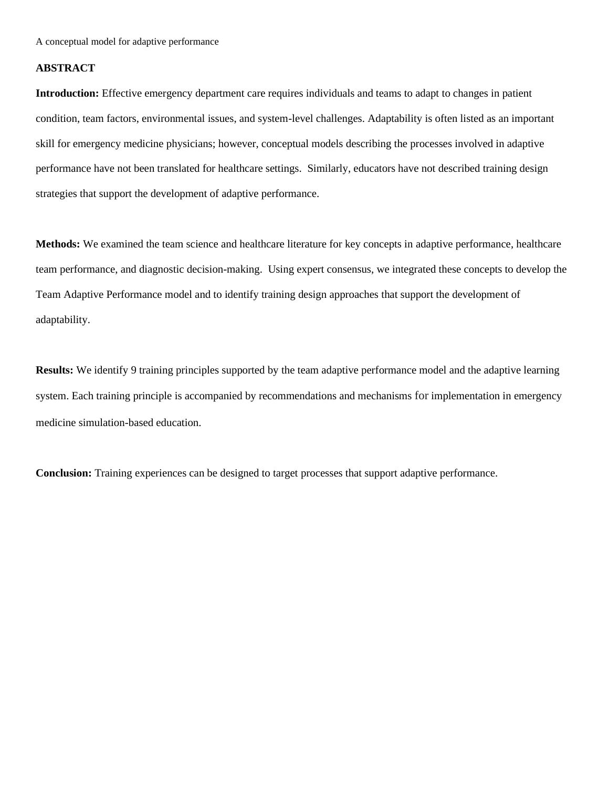### **ABSTRACT**

**Introduction:** Effective emergency department care requires individuals and teams to adapt to changes in patient condition, team factors, environmental issues, and system-level challenges. Adaptability is often listed as an important skill for emergency medicine physicians; however, conceptual models describing the processes involved in adaptive performance have not been translated for healthcare settings. Similarly, educators have not described training design strategies that support the development of adaptive performance.

**Methods:** We examined the team science and healthcare literature for key concepts in adaptive performance, healthcare team performance, and diagnostic decision-making. Using expert consensus, we integrated these concepts to develop the Team Adaptive Performance model and to identify training design approaches that support the development of adaptability.

**Results:** We identify 9 training principles supported by the team adaptive performance model and the adaptive learning system. Each training principle is accompanied by recommendations and mechanisms for implementation in emergency medicine simulation-based education.

**Conclusion:** Training experiences can be designed to target processes that support adaptive performance.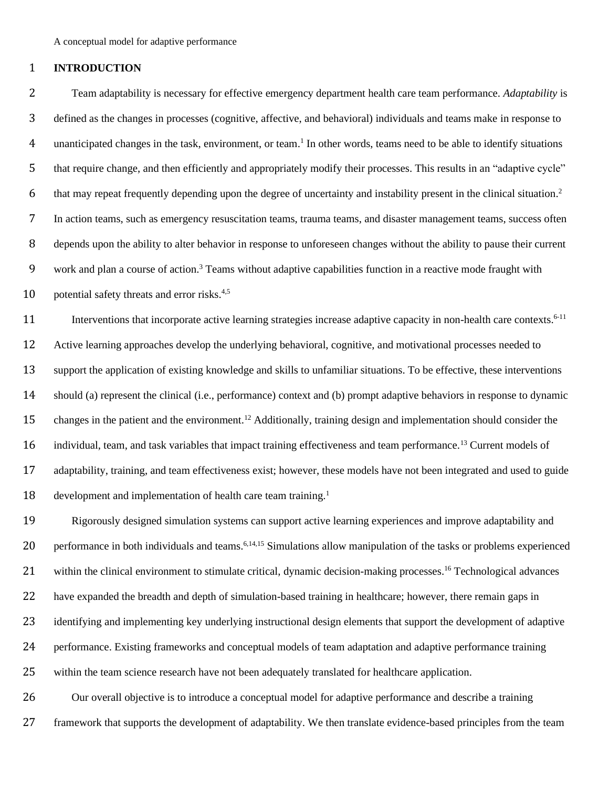### **INTRODUCTION**

 Team adaptability is necessary for effective emergency department health care team performance. *Adaptability* is defined as the changes in processes (cognitive, affective, and behavioral) individuals and teams make in response to 4 unanticipated changes in the task, environment, or team.<sup>1</sup> In other words, teams need to be able to identify situations that require change, and then efficiently and appropriately modify their processes. This results in an "adaptive cycle" 6 that may repeat frequently depending upon the degree of uncertainty and instability present in the clinical situation.<sup>2</sup> In action teams, such as emergency resuscitation teams, trauma teams, and disaster management teams, success often depends upon the ability to alter behavior in response to unforeseen changes without the ability to pause their current 9 work and plan a course of action.<sup>3</sup> Teams without adaptive capabilities function in a reactive mode fraught with 10 potential safety threats and error risks.<sup>4,5</sup>

11 Interventions that incorporate active learning strategies increase adaptive capacity in non-health care contexts.<sup>6-11</sup> Active learning approaches develop the underlying behavioral, cognitive, and motivational processes needed to support the application of existing knowledge and skills to unfamiliar situations. To be effective, these interventions should (a) represent the clinical (i.e., performance) context and (b) prompt adaptive behaviors in response to dynamic 15 changes in the patient and the environment.<sup>12</sup> Additionally, training design and implementation should consider the 16 individual, team, and task variables that impact training effectiveness and team performance.<sup>13</sup> Current models of adaptability, training, and team effectiveness exist; however, these models have not been integrated and used to guide 18 development and implementation of health care team training.<sup>1</sup>

 Rigorously designed simulation systems can support active learning experiences and improve adaptability and 20 performance in both individuals and teams.<sup>6,14,15</sup> Simulations allow manipulation of the tasks or problems experienced 21 within the clinical environment to stimulate critical, dynamic decision-making processes.<sup>16</sup> Technological advances have expanded the breadth and depth of simulation-based training in healthcare; however, there remain gaps in identifying and implementing key underlying instructional design elements that support the development of adaptive performance. Existing frameworks and conceptual models of team adaptation and adaptive performance training within the team science research have not been adequately translated for healthcare application.

 Our overall objective is to introduce a conceptual model for adaptive performance and describe a training framework that supports the development of adaptability. We then translate evidence-based principles from the team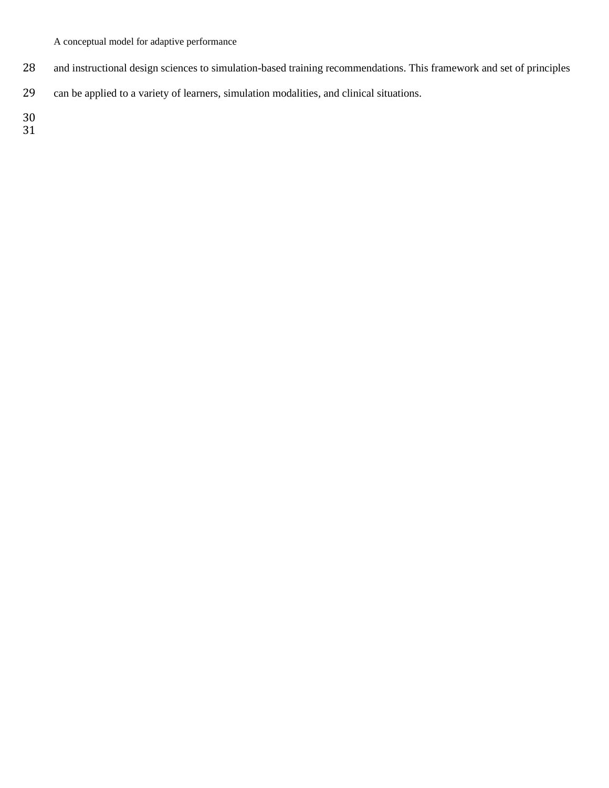- and instructional design sciences to simulation-based training recommendations. This framework and set of principles
- can be applied to a variety of learners, simulation modalities, and clinical situations.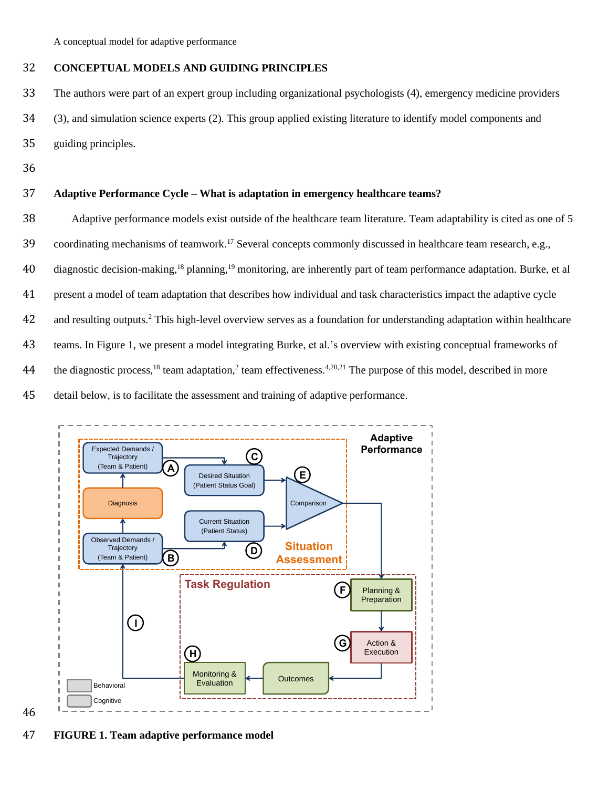### 32 **CONCEPTUAL MODELS AND GUIDING PRINCIPLES**

33 The authors were part of an expert group including organizational psychologists (4), emergency medicine providers

34 (3), and simulation science experts (2). This group applied existing literature to identify model components and

- 35 guiding principles.
- 36

46

### 37 **Adaptive Performance Cycle – What is adaptation in emergency healthcare teams?**

38 Adaptive performance models exist outside of the healthcare team literature. Team adaptability is cited as one of 5 39 coordinating mechanisms of teamwork.<sup>17</sup> Several concepts commonly discussed in healthcare team research, e.g., 40 diagnostic decision-making,<sup>18</sup> planning,<sup>19</sup> monitoring, are inherently part of team performance adaptation. Burke, et al 41 present a model of team adaptation that describes how individual and task characteristics impact the adaptive cycle 42 and resulting outputs.<sup>2</sup> This high-level overview serves as a foundation for understanding adaptation within healthcare 43 teams. In Figure 1, we present a model integrating Burke, et al.'s overview with existing conceptual frameworks of 44 the diagnostic process,<sup>18</sup> team adaptation,<sup>2</sup> team effectiveness.<sup>4,20,21</sup> The purpose of this model, described in more 45 detail below, is to facilitate the assessment and training of adaptive performance.



47 **FIGURE 1. Team adaptive performance model**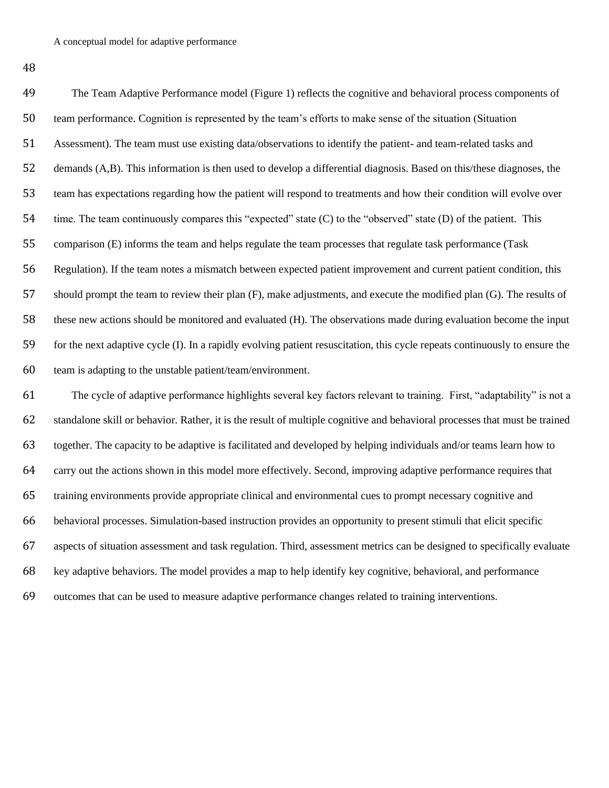The Team Adaptive Performance model (Figure 1) reflects the cognitive and behavioral process components of team performance. Cognition is represented by the team's efforts to make sense of the situation (Situation Assessment). The team must use existing data/observations to identify the patient- and team-related tasks and demands (A,B). This information is then used to develop a differential diagnosis. Based on this/these diagnoses, the team has expectations regarding how the patient will respond to treatments and how their condition will evolve over time. The team continuously compares this "expected" state (C) to the "observed" state (D) of the patient. This comparison (E) informs the team and helps regulate the team processes that regulate task performance (Task Regulation). If the team notes a mismatch between expected patient improvement and current patient condition, this should prompt the team to review their plan (F), make adjustments, and execute the modified plan (G). The results of these new actions should be monitored and evaluated (H). The observations made during evaluation become the input for the next adaptive cycle (I). In a rapidly evolving patient resuscitation, this cycle repeats continuously to ensure the team is adapting to the unstable patient/team/environment.

 The cycle of adaptive performance highlights several key factors relevant to training. First, "adaptability" is not a standalone skill or behavior. Rather, it is the result of multiple cognitive and behavioral processes that must be trained together. The capacity to be adaptive is facilitated and developed by helping individuals and/or teams learn how to carry out the actions shown in this model more effectively. Second, improving adaptive performance requires that training environments provide appropriate clinical and environmental cues to prompt necessary cognitive and behavioral processes. Simulation-based instruction provides an opportunity to present stimuli that elicit specific aspects of situation assessment and task regulation. Third, assessment metrics can be designed to specifically evaluate key adaptive behaviors. The model provides a map to help identify key cognitive, behavioral, and performance outcomes that can be used to measure adaptive performance changes related to training interventions.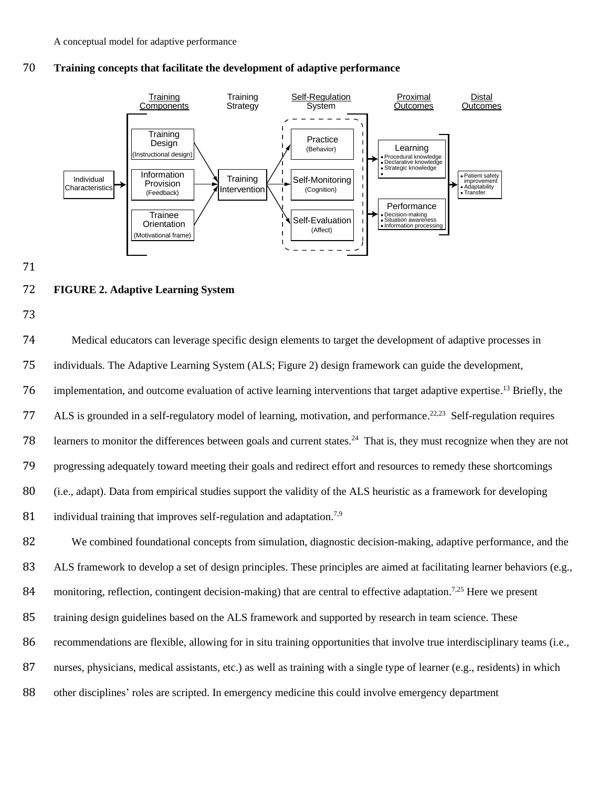

### 70 **Training concepts that facilitate the development of adaptive performance**

71

### 72 **FIGURE 2. Adaptive Learning System**

73

74 Medical educators can leverage specific design elements to target the development of adaptive processes in 75 individuals. The Adaptive Learning System (ALS; Figure 2) design framework can guide the development, 76 implementation, and outcome evaluation of active learning interventions that target adaptive expertise.<sup>13</sup> Briefly, the 77 ALS is grounded in a self-regulatory model of learning, motivation, and performance.<sup>22,23</sup> Self-regulation requires 78 learners to monitor the differences between goals and current states.<sup>24</sup> That is, they must recognize when they are not 79 progressing adequately toward meeting their goals and redirect effort and resources to remedy these shortcomings 80 (i.e., adapt). Data from empirical studies support the validity of the ALS heuristic as a framework for developing 81 individual training that improves self-regulation and adaptation.<sup>7,9</sup>

 We combined foundational concepts from simulation, diagnostic decision-making, adaptive performance, and the ALS framework to develop a set of design principles. These principles are aimed at facilitating learner behaviors (e.g., 84 monitoring, reflection, contingent decision-making) that are central to effective adaptation.<sup>7,25</sup> Here we present training design guidelines based on the ALS framework and supported by research in team science. These recommendations are flexible, allowing for in situ training opportunities that involve true interdisciplinary teams (i.e., nurses, physicians, medical assistants, etc.) as well as training with a single type of learner (e.g., residents) in which other disciplines' roles are scripted. In emergency medicine this could involve emergency department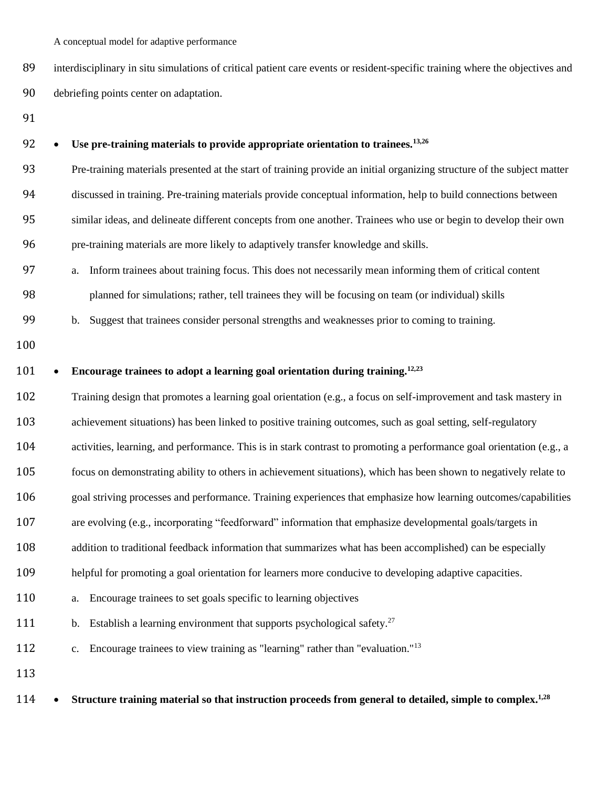interdisciplinary in situ simulations of critical patient care events or resident-specific training where the objectives and debriefing points center on adaptation.

# • **Use pre-training materials to provide appropriate orientation to trainees.13,26** Pre-training materials presented at the start of training provide an initial organizing structure of the subject matter discussed in training. Pre-training materials provide conceptual information, help to build connections between similar ideas, and delineate different concepts from one another. Trainees who use or begin to develop their own pre-training materials are more likely to adaptively transfer knowledge and skills. a. Inform trainees about training focus. This does not necessarily mean informing them of critical content planned for simulations; rather, tell trainees they will be focusing on team (or individual) skills b. Suggest that trainees consider personal strengths and weaknesses prior to coming to training. • **Encourage trainees to adopt a learning goal orientation during training.12,23** Training design that promotes a learning goal orientation (e.g., a focus on self-improvement and task mastery in achievement situations) has been linked to positive training outcomes, such as goal setting, self-regulatory activities, learning, and performance. This is in stark contrast to promoting a performance goal orientation (e.g., a focus on demonstrating ability to others in achievement situations), which has been shown to negatively relate to goal striving processes and performance. Training experiences that emphasize how learning outcomes/capabilities are evolving (e.g., incorporating "feedforward" information that emphasize developmental goals/targets in 108 addition to traditional feedback information that summarizes what has been accomplished) can be especially helpful for promoting a goal orientation for learners more conducive to developing adaptive capacities. a. Encourage trainees to set goals specific to learning objectives 111 b. Establish a learning environment that supports psychological safety.<sup>27</sup> c. Encourage trainees to view training as "learning" rather than "evaluation."<sup>13</sup>

• **Structure training material so that instruction proceeds from general to detailed, simple to complex.1,28**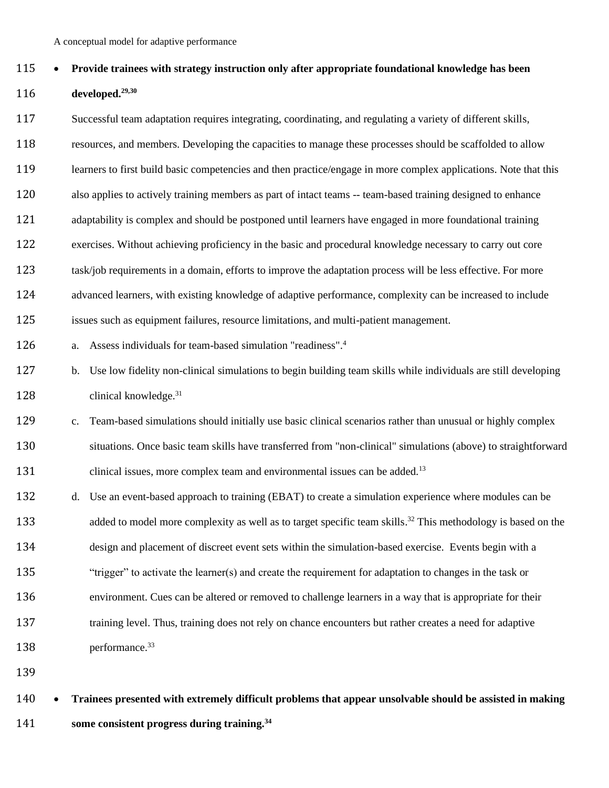## • **Provide trainees with strategy instruction only after appropriate foundational knowledge has been**  116 **developed.**<sup>29,30</sup>

 Successful team adaptation requires integrating, coordinating, and regulating a variety of different skills, resources, and members. Developing the capacities to manage these processes should be scaffolded to allow learners to first build basic competencies and then practice/engage in more complex applications. Note that this also applies to actively training members as part of intact teams -- team-based training designed to enhance adaptability is complex and should be postponed until learners have engaged in more foundational training exercises. Without achieving proficiency in the basic and procedural knowledge necessary to carry out core

 task/job requirements in a domain, efforts to improve the adaptation process will be less effective. For more advanced learners, with existing knowledge of adaptive performance, complexity can be increased to include

- issues such as equipment failures, resource limitations, and multi-patient management.
- a. Assess individuals for team-based simulation "readiness". <sup>4</sup>
- b. Use low fidelity non-clinical simulations to begin building team skills while individuals are still developing clinical knowledge.<sup>31</sup>
- c. Team-based simulations should initially use basic clinical scenarios rather than unusual or highly complex situations. Once basic team skills have transferred from "non-clinical" simulations (above) to straightforward 131 clinical issues, more complex team and environmental issues can be added.<sup>13</sup>
- d. Use an event-based approach to training (EBAT) to create a simulation experience where modules can be 133 added to model more complexity as well as to target specific team skills.<sup>32</sup> This methodology is based on the design and placement of discreet event sets within the simulation-based exercise. Events begin with a "trigger" to activate the learner(s) and create the requirement for adaptation to changes in the task or environment. Cues can be altered or removed to challenge learners in a way that is appropriate for their training level. Thus, training does not rely on chance encounters but rather creates a need for adaptive 138 performance.<sup>33</sup>
- 

### • **Trainees presented with extremely difficult problems that appear unsolvable should be assisted in making some consistent progress during training.<sup>34</sup>**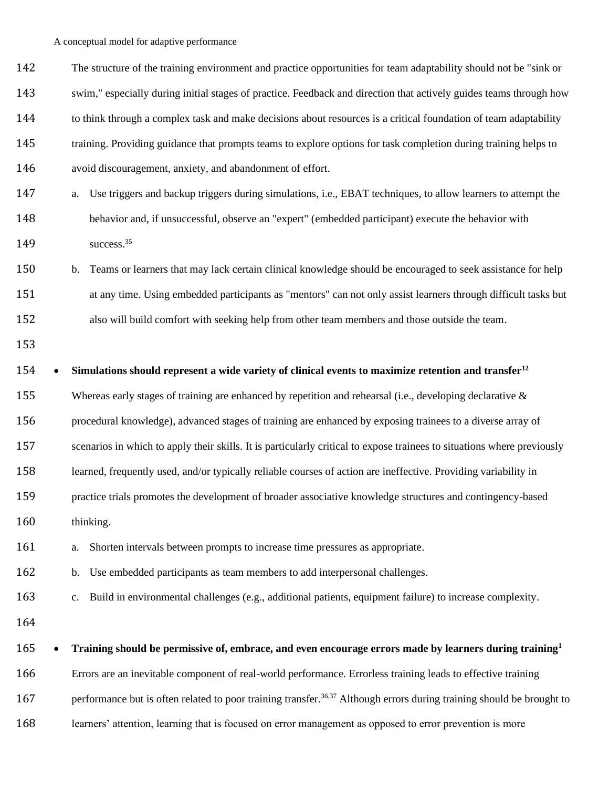| 142 | The structure of the training environment and practice opportunities for team adaptability should not be "sink or                 |
|-----|-----------------------------------------------------------------------------------------------------------------------------------|
| 143 | swim," especially during initial stages of practice. Feedback and direction that actively guides teams through how                |
| 144 | to think through a complex task and make decisions about resources is a critical foundation of team adaptability                  |
| 145 | training. Providing guidance that prompts teams to explore options for task completion during training helps to                   |
| 146 | avoid discouragement, anxiety, and abandonment of effort.                                                                         |
| 147 | Use triggers and backup triggers during simulations, i.e., EBAT techniques, to allow learners to attempt the<br>a.                |
| 148 | behavior and, if unsuccessful, observe an "expert" (embedded participant) execute the behavior with                               |
| 149 | success. <sup>35</sup>                                                                                                            |
| 150 | Teams or learners that may lack certain clinical knowledge should be encouraged to seek assistance for help<br>b.                 |
| 151 | at any time. Using embedded participants as "mentors" can not only assist learners through difficult tasks but                    |
| 152 | also will build comfort with seeking help from other team members and those outside the team.                                     |
| 153 |                                                                                                                                   |
| 154 | Simulations should represent a wide variety of clinical events to maximize retention and transfer <sup>12</sup>                   |
| 155 | Whereas early stages of training are enhanced by repetition and rehearsal (i.e., developing declarative $\&$                      |
| 156 | procedural knowledge), advanced stages of training are enhanced by exposing trainees to a diverse array of                        |
| 157 | scenarios in which to apply their skills. It is particularly critical to expose trainees to situations where previously           |
| 158 | learned, frequently used, and/or typically reliable courses of action are ineffective. Providing variability in                   |
| 159 | practice trials promotes the development of broader associative knowledge structures and contingency-based                        |
| 160 | thinking.                                                                                                                         |
| 161 | Shorten intervals between prompts to increase time pressures as appropriate.<br>a.                                                |
| 162 | Use embedded participants as team members to add interpersonal challenges.<br>b.                                                  |
| 163 | Build in environmental challenges (e.g., additional patients, equipment failure) to increase complexity.<br>$\mathbf{c}$ .        |
| 164 |                                                                                                                                   |
| 165 | Training should be permissive of, embrace, and even encourage errors made by learners during training <sup>1</sup>                |
| 166 | Errors are an inevitable component of real-world performance. Errorless training leads to effective training                      |
| 167 | performance but is often related to poor training transfer. <sup>36,37</sup> Although errors during training should be brought to |
| 168 | learners' attention, learning that is focused on error management as opposed to error prevention is more                          |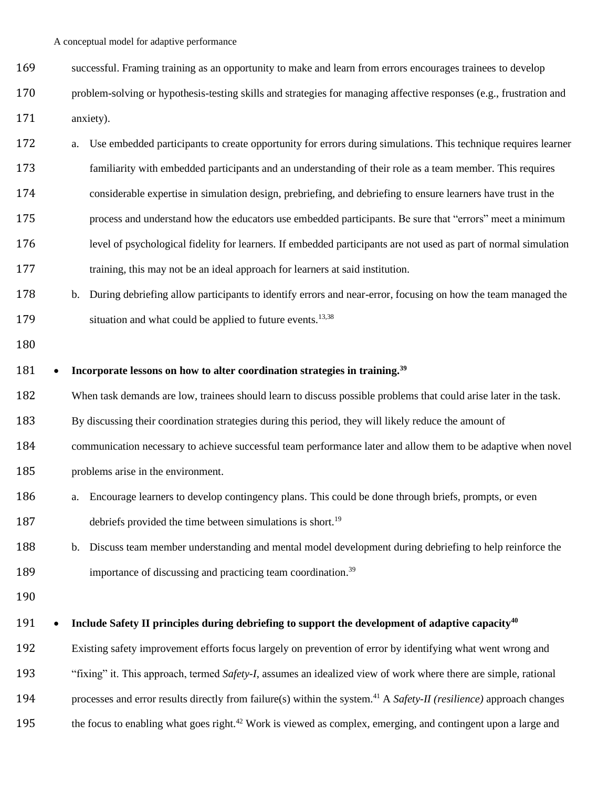- successful. Framing training as an opportunity to make and learn from errors encourages trainees to develop
- problem-solving or hypothesis-testing skills and strategies for managing affective responses (e.g., frustration and

171 anxiety).

- a. Use embedded participants to create opportunity for errors during simulations. This technique requires learner familiarity with embedded participants and an understanding of their role as a team member. This requires considerable expertise in simulation design, prebriefing, and debriefing to ensure learners have trust in the process and understand how the educators use embedded participants. Be sure that "errors" meet a minimum level of psychological fidelity for learners. If embedded participants are not used as part of normal simulation training, this may not be an ideal approach for learners at said institution.
- b. During debriefing allow participants to identify errors and near-error, focusing on how the team managed the 179 situation and what could be applied to future events.<sup>13,38</sup>

#### • **Incorporate lessons on how to alter coordination strategies in training.<sup>39</sup>**

When task demands are low, trainees should learn to discuss possible problems that could arise later in the task.

- By discussing their coordination strategies during this period, they will likely reduce the amount of
- communication necessary to achieve successful team performance later and allow them to be adaptive when novel
- problems arise in the environment.
- a. Encourage learners to develop contingency plans. This could be done through briefs, prompts, or even 187 debriefs provided the time between simulations is short.<sup>19</sup>
- b. Discuss team member understanding and mental model development during debriefing to help reinforce the 189 importance of discussing and practicing team coordination.<sup>39</sup>
- 

### • **Include Safety II principles during debriefing to support the development of adaptive capacity<sup>40</sup>**

Existing safety improvement efforts focus largely on prevention of error by identifying what went wrong and

"fixing" it. This approach, termed *Safety-I*, assumes an idealized view of work where there are simple, rational

- processes and error results directly from failure(s) within the system. <sup>41</sup> A *Safety-II (resilience)* approach changes
- 195 the focus to enabling what goes right.<sup>42</sup> Work is viewed as complex, emerging, and contingent upon a large and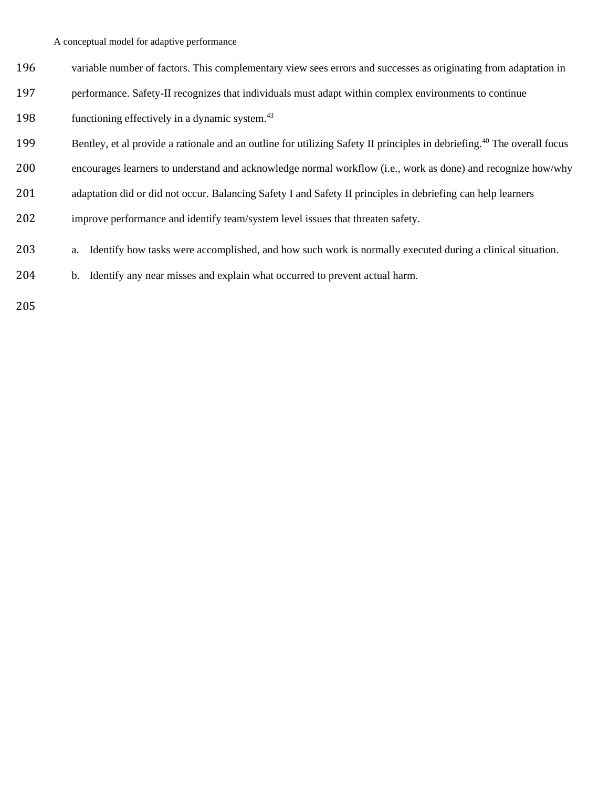- variable number of factors. This complementary view sees errors and successes as originating from adaptation in
- performance. Safety-II recognizes that individuals must adapt within complex environments to continue

198 functioning effectively in a dynamic system.

- Bentley, et al provide a rationale and an outline for utilizing Safety II principles in debriefing.<sup>40</sup> The overall focus
- encourages learners to understand and acknowledge normal workflow (i.e., work as done) and recognize how/why
- 201 adaptation did or did not occur. Balancing Safety I and Safety II principles in debriefing can help learners
- improve performance and identify team/system level issues that threaten safety.
- a. Identify how tasks were accomplished, and how such work is normally executed during a clinical situation.
- b. Identify any near misses and explain what occurred to prevent actual harm.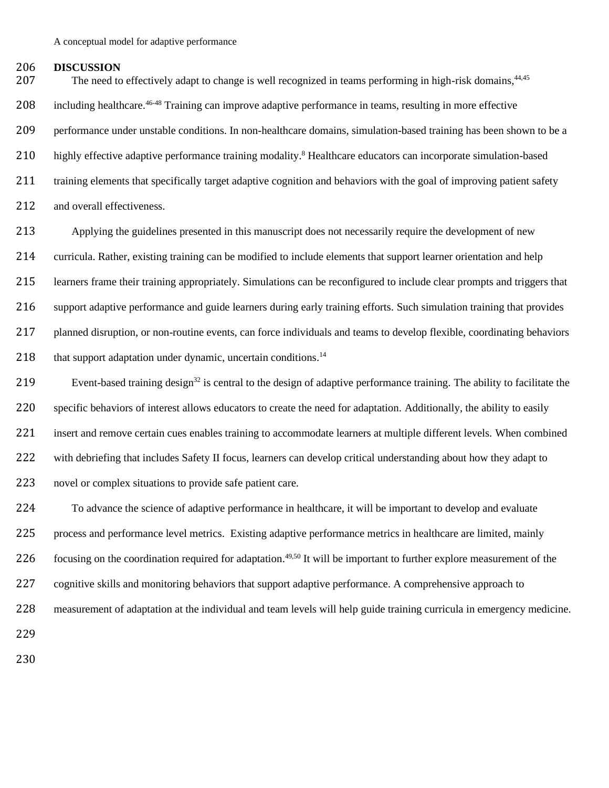### 206 **DISCUSSION**

207 The need to effectively adapt to change is well recognized in teams performing in high-risk domains,<sup>44,45</sup> 208 including healthcare.<sup>46-48</sup> Training can improve adaptive performance in teams, resulting in more effective 209 performance under unstable conditions. In non-healthcare domains, simulation-based training has been shown to be a 210 highly effective adaptive performance training modality.<sup>8</sup> Healthcare educators can incorporate simulation-based 211 training elements that specifically target adaptive cognition and behaviors with the goal of improving patient safety 212 and overall effectiveness.

 Applying the guidelines presented in this manuscript does not necessarily require the development of new curricula. Rather, existing training can be modified to include elements that support learner orientation and help learners frame their training appropriately. Simulations can be reconfigured to include clear prompts and triggers that support adaptive performance and guide learners during early training efforts. Such simulation training that provides planned disruption, or non-routine events, can force individuals and teams to develop flexible, coordinating behaviors 218 that support adaptation under dynamic, uncertain conditions.<sup>14</sup>

Event-based training design<sup>32</sup> is central to the design of adaptive performance training. The ability to facilitate the 220 specific behaviors of interest allows educators to create the need for adaptation. Additionally, the ability to easily 221 insert and remove certain cues enables training to accommodate learners at multiple different levels. When combined 222 with debriefing that includes Safety II focus, learners can develop critical understanding about how they adapt to 223 novel or complex situations to provide safe patient care.

224 To advance the science of adaptive performance in healthcare, it will be important to develop and evaluate 225 process and performance level metrics. Existing adaptive performance metrics in healthcare are limited, mainly 226 focusing on the coordination required for adaptation.<sup>49,50</sup> It will be important to further explore measurement of the

227 cognitive skills and monitoring behaviors that support adaptive performance. A comprehensive approach to

228 measurement of adaptation at the individual and team levels will help guide training curricula in emergency medicine.

229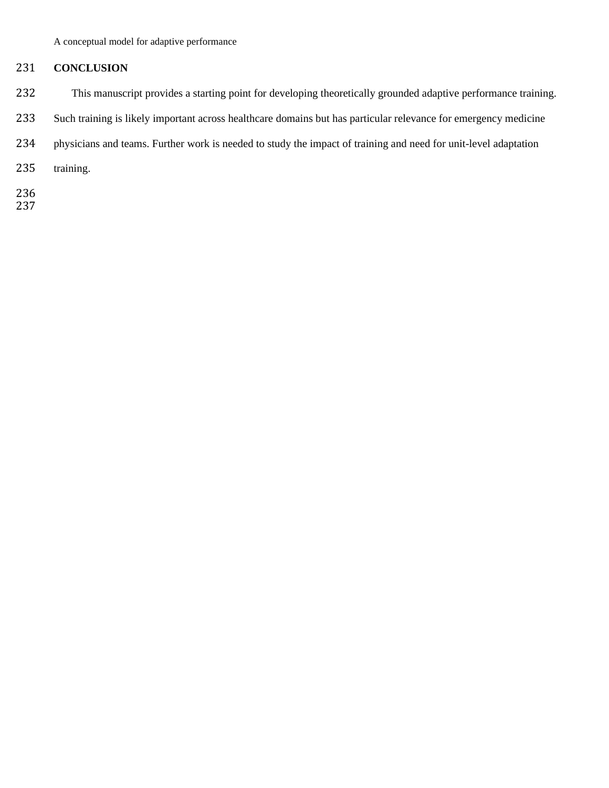### **CONCLUSION**

- This manuscript provides a starting point for developing theoretically grounded adaptive performance training.
- Such training is likely important across healthcare domains but has particular relevance for emergency medicine
- physicians and teams. Further work is needed to study the impact of training and need for unit-level adaptation
- training.
- 
-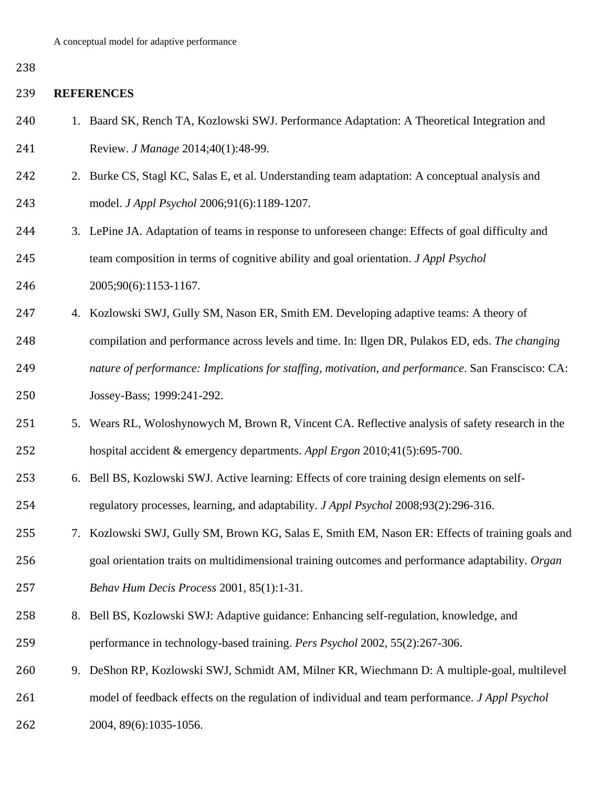### **REFERENCES**

- 1. Baard SK, Rench TA, Kozlowski SWJ. Performance Adaptation: A Theoretical Integration and Review. *J Manage* 2014;40(1):48-99.
- 242 2. Burke CS, Stagl KC, Salas E, et al. Understanding team adaptation: A conceptual analysis and model. *J Appl Psychol* 2006;91(6):1189-1207.
- 3. LePine JA. Adaptation of teams in response to unforeseen change: Effects of goal difficulty and team composition in terms of cognitive ability and goal orientation. *J Appl Psychol*
- 2005;90(6):1153-1167.
- 4. Kozlowski SWJ, Gully SM, Nason ER, Smith EM. Developing adaptive teams: A theory of
- compilation and performance across levels and time. In: Ilgen DR, Pulakos ED, eds. *The changing*
- *nature of performance: Implications for staffing, motivation, and performance*. San Franscisco: CA:
- Jossey-Bass; 1999:241-292.
- 5. Wears RL, Woloshynowych M, Brown R, Vincent CA. Reflective analysis of safety research in the hospital accident & emergency departments. *Appl Ergon* 2010;41(5):695-700.
- 6. Bell BS, Kozlowski SWJ. Active learning: Effects of core training design elements on self-regulatory processes, learning, and adaptability. *J Appl Psychol* 2008;93(2):296-316.
- 7. Kozlowski SWJ, Gully SM, Brown KG, Salas E, Smith EM, Nason ER: Effects of training goals and goal orientation traits on multidimensional training outcomes and performance adaptability. *Organ Behav Hum Decis Process* 2001, 85(1):1-31.
- 8. Bell BS, Kozlowski SWJ: Adaptive guidance: Enhancing self-regulation, knowledge, and performance in technology-based training. *Pers Psychol* 2002, 55(2):267-306.
- 9. DeShon RP, Kozlowski SWJ, Schmidt AM, Milner KR, Wiechmann D: A multiple-goal, multilevel
- model of feedback effects on the regulation of individual and team performance. *J Appl Psychol*
- 2004, 89(6):1035-1056.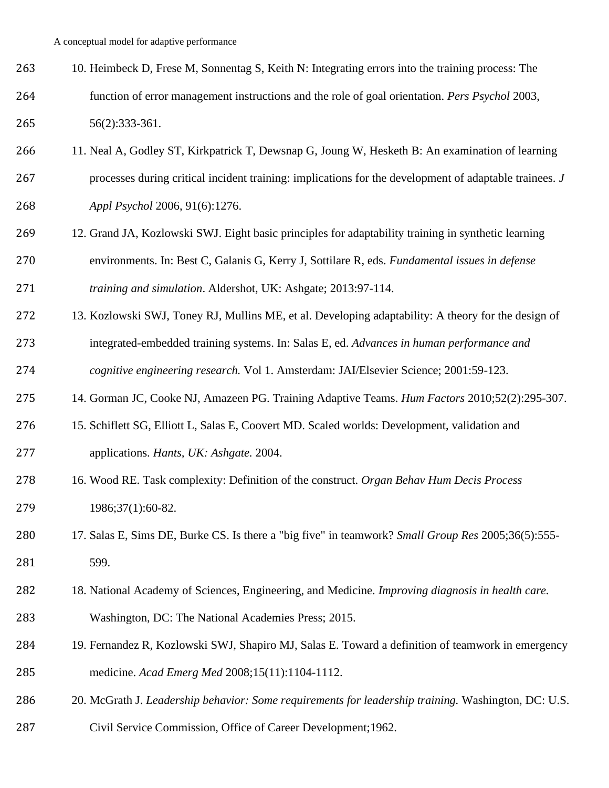- 10. Heimbeck D, Frese M, Sonnentag S, Keith N: Integrating errors into the training process: The function of error management instructions and the role of goal orientation. *Pers Psychol* 2003, 56(2):333-361.
- 11. Neal A, Godley ST, Kirkpatrick T, Dewsnap G, Joung W, Hesketh B: An examination of learning processes during critical incident training: implications for the development of adaptable trainees. *J Appl Psychol* 2006, 91(6):1276.
- 12. Grand JA, Kozlowski SWJ. Eight basic principles for adaptability training in synthetic learning environments. In: Best C, Galanis G, Kerry J, Sottilare R, eds. *Fundamental issues in defense training and simulation*. Aldershot, UK: Ashgate; 2013:97-114.
- 13. Kozlowski SWJ, Toney RJ, Mullins ME, et al. Developing adaptability: A theory for the design of integrated-embedded training systems. In: Salas E, ed. *Advances in human performance and cognitive engineering research.* Vol 1. Amsterdam: JAI/Elsevier Science; 2001:59-123.
- 14. Gorman JC, Cooke NJ, Amazeen PG. Training Adaptive Teams. *Hum Factors* 2010;52(2):295-307.
- 15. Schiflett SG, Elliott L, Salas E, Coovert MD. Scaled worlds: Development, validation and applications. *Hants, UK: Ashgate.* 2004.
- 16. Wood RE. Task complexity: Definition of the construct. *Organ Behav Hum Decis Process* 1986;37(1):60-82.
- 17. Salas E, Sims DE, Burke CS. Is there a "big five" in teamwork? *Small Group Res* 2005;36(5):555- 599.
- 18. National Academy of Sciences, Engineering, and Medicine. *Improving diagnosis in health care.* Washington, DC: The National Academies Press; 2015.
- 19. Fernandez R, Kozlowski SWJ, Shapiro MJ, Salas E. Toward a definition of teamwork in emergency medicine. *Acad Emerg Med* 2008;15(11):1104-1112.
- 20. McGrath J. *Leadership behavior: Some requirements for leadership training.* Washington, DC: U.S.
- Civil Service Commission, Office of Career Development;1962.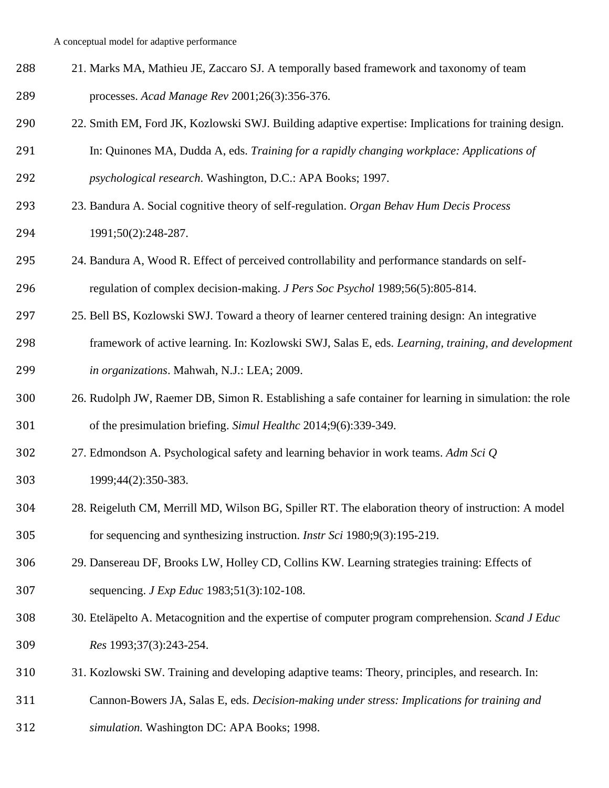- 21. Marks MA, Mathieu JE, Zaccaro SJ. A temporally based framework and taxonomy of team processes. *Acad Manage Rev* 2001;26(3):356-376.
- 22. Smith EM, Ford JK, Kozlowski SWJ. Building adaptive expertise: Implications for training design.
- In: Quinones MA, Dudda A, eds. *Training for a rapidly changing workplace: Applications of*
- *psychological research*. Washington, D.C.: APA Books; 1997.
- 23. Bandura A. Social cognitive theory of self-regulation. *Organ Behav Hum Decis Process* 1991;50(2):248-287.
- 24. Bandura A, Wood R. Effect of perceived controllability and performance standards on self-regulation of complex decision-making. *J Pers Soc Psychol* 1989;56(5):805-814.
- 25. Bell BS, Kozlowski SWJ. Toward a theory of learner centered training design: An integrative framework of active learning. In: Kozlowski SWJ, Salas E, eds. *Learning, training, and development in organizations*. Mahwah, N.J.: LEA; 2009.
- 26. Rudolph JW, Raemer DB, Simon R. Establishing a safe container for learning in simulation: the role of the presimulation briefing. *Simul Healthc* 2014;9(6):339-349.
- 27. Edmondson A. Psychological safety and learning behavior in work teams. *Adm Sci Q* 1999;44(2):350-383.
- 28. Reigeluth CM, Merrill MD, Wilson BG, Spiller RT. The elaboration theory of instruction: A model for sequencing and synthesizing instruction. *Instr Sci* 1980;9(3):195-219.
- 29. Dansereau DF, Brooks LW, Holley CD, Collins KW. Learning strategies training: Effects of sequencing. *J Exp Educ* 1983;51(3):102-108.
- 30. Eteläpelto A. Metacognition and the expertise of computer program comprehension. *Scand J Educ Res* 1993;37(3):243-254.
- 31. Kozlowski SW. Training and developing adaptive teams: Theory, principles, and research. In:
- Cannon-Bowers JA, Salas E, eds. *Decision-making under stress: Implications for training and*
- *simulation.* Washington DC: APA Books; 1998.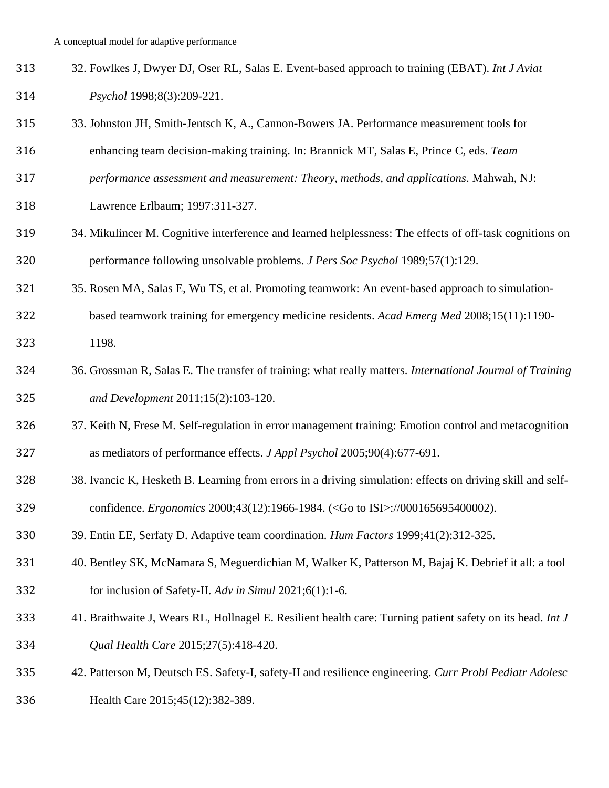- 32. Fowlkes J, Dwyer DJ, Oser RL, Salas E. Event-based approach to training (EBAT). *Int J Aviat Psychol* 1998;8(3):209-221.
- 33. Johnston JH, Smith-Jentsch K, A., Cannon-Bowers JA. Performance measurement tools for
- enhancing team decision-making training. In: Brannick MT, Salas E, Prince C, eds. *Team*
- *performance assessment and measurement: Theory, methods, and applications*. Mahwah, NJ:
- Lawrence Erlbaum; 1997:311-327.
- 34. Mikulincer M. Cognitive interference and learned helplessness: The effects of off-task cognitions on performance following unsolvable problems. *J Pers Soc Psychol* 1989;57(1):129.
- 35. Rosen MA, Salas E, Wu TS, et al. Promoting teamwork: An event-based approach to simulation-
- based teamwork training for emergency medicine residents. *Acad Emerg Med* 2008;15(11):1190- 1198.
- 36. Grossman R, Salas E. The transfer of training: what really matters. *International Journal of Training and Development* 2011;15(2):103-120.
- 37. Keith N, Frese M. Self-regulation in error management training: Emotion control and metacognition as mediators of performance effects. *J Appl Psychol* 2005;90(4):677-691.
- 38. Ivancic K, Hesketh B. Learning from errors in a driving simulation: effects on driving skill and self-confidence. *Ergonomics* 2000;43(12):1966-1984. (<Go to ISI>://000165695400002).
- 39. Entin EE, Serfaty D. Adaptive team coordination. *Hum Factors* 1999;41(2):312-325.
- 40. Bentley SK, McNamara S, Meguerdichian M, Walker K, Patterson M, Bajaj K. Debrief it all: a tool for inclusion of Safety-II. *Adv in Simul* 2021;6(1):1-6.
- 41. Braithwaite J, Wears RL, Hollnagel E. Resilient health care: Turning patient safety on its head. *Int J Qual Health Care* 2015;27(5):418-420.
- 42. Patterson M, Deutsch ES. Safety-I, safety-II and resilience engineering. *Curr Probl Pediatr Adolesc* Health Care 2015;45(12):382-389.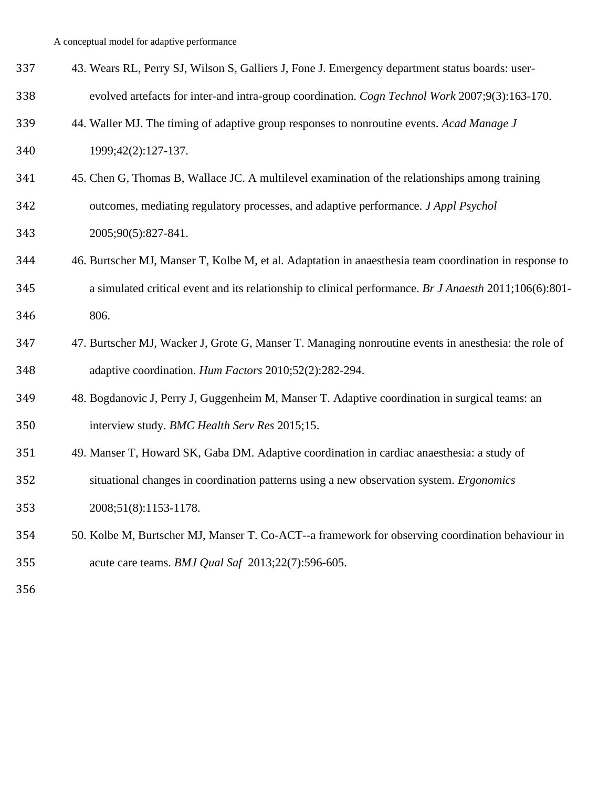| 337 | 43. Wears RL, Perry SJ, Wilson S, Galliers J, Fone J. Emergency department status boards: user- |
|-----|-------------------------------------------------------------------------------------------------|
| 338 | evolved artefacts for inter-and intra-group coordination. Cogn Technol Work 2007;9(3):163-170.  |

- 44. Waller MJ. The timing of adaptive group responses to nonroutine events. *Acad Manage J* 1999;42(2):127-137.
- 45. Chen G, Thomas B, Wallace JC. A multilevel examination of the relationships among training outcomes, mediating regulatory processes, and adaptive performance. *J Appl Psychol* 2005;90(5):827-841.
- 46. Burtscher MJ, Manser T, Kolbe M, et al. Adaptation in anaesthesia team coordination in response to a simulated critical event and its relationship to clinical performance. *Br J Anaesth* 2011;106(6):801- 806.
- 47. Burtscher MJ, Wacker J, Grote G, Manser T. Managing nonroutine events in anesthesia: the role of adaptive coordination. *Hum Factors* 2010;52(2):282-294.
- 48. Bogdanovic J, Perry J, Guggenheim M, Manser T. Adaptive coordination in surgical teams: an interview study. *BMC Health Serv Res* 2015;15.
- 49. Manser T, Howard SK, Gaba DM. Adaptive coordination in cardiac anaesthesia: a study of situational changes in coordination patterns using a new observation system. *Ergonomics* 2008;51(8):1153-1178.
- 50. Kolbe M, Burtscher MJ, Manser T. Co-ACT--a framework for observing coordination behaviour in acute care teams. *BMJ Qual Saf* 2013;22(7):596-605.